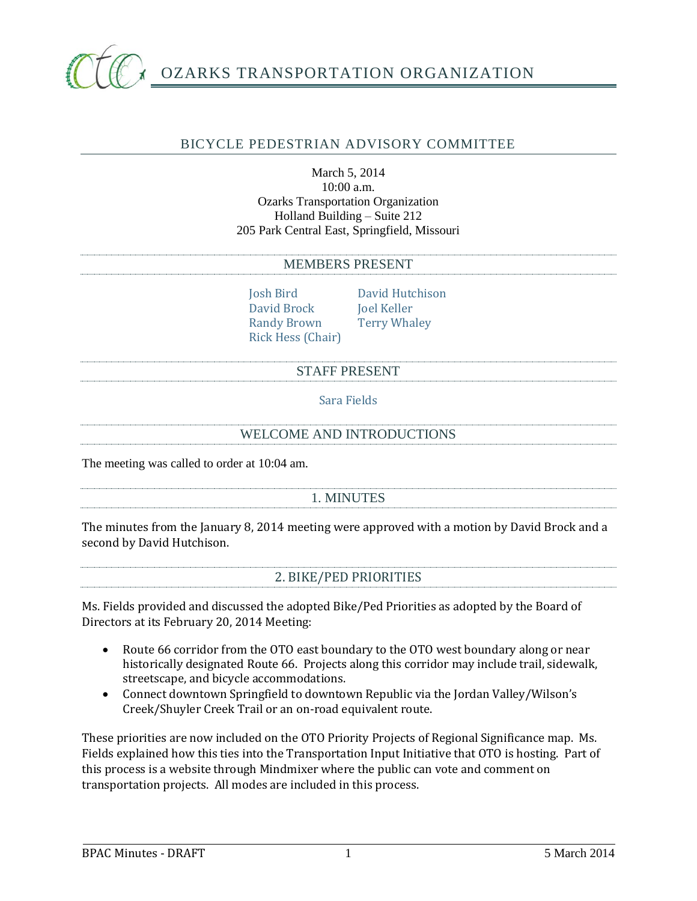

# OZARKS TRANSPORTATION ORGANIZATION

# BICYCLE PEDESTRIAN ADVISORY COMMITTEE

# March 5, 2014 10:00 a.m. Ozarks Transportation Organization Holland Building – Suite 212 205 Park Central East, Springfield, Missouri

#### MEMBERS PRESENT

Josh Bird David Hutchison David Brock Joel Keller Randy Brown Terry Whaley Rick Hess (Chair)

#### STAFF PRESENT

Sara Fields

#### WELCOME AND INTRODUCTIONS

The meeting was called to order at 10:04 am.

# 1. MINUTES

The minutes from the January 8, 2014 meeting were approved with a motion by David Brock and a second by David Hutchison.

# 2. BIKE/PED PRIORITIES

Ms. Fields provided and discussed the adopted Bike/Ped Priorities as adopted by the Board of Directors at its February 20, 2014 Meeting:

- Route 66 corridor from the OTO east boundary to the OTO west boundary along or near historically designated Route 66. Projects along this corridor may include trail, sidewalk, streetscape, and bicycle accommodations.
- Connect downtown Springfield to downtown Republic via the Jordan Valley/Wilson's Creek/Shuyler Creek Trail or an on-road equivalent route.

These priorities are now included on the OTO Priority Projects of Regional Significance map. Ms. Fields explained how this ties into the Transportation Input Initiative that OTO is hosting. Part of this process is a website through Mindmixer where the public can vote and comment on transportation projects. All modes are included in this process.